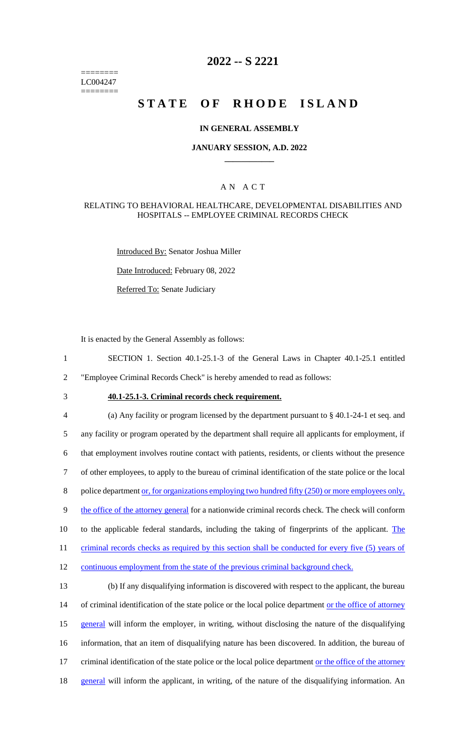======== LC004247 ========

# **2022 -- S 2221**

# **STATE OF RHODE ISLAND**

### **IN GENERAL ASSEMBLY**

#### **JANUARY SESSION, A.D. 2022 \_\_\_\_\_\_\_\_\_\_\_\_**

### A N A C T

### RELATING TO BEHAVIORAL HEALTHCARE, DEVELOPMENTAL DISABILITIES AND HOSPITALS -- EMPLOYEE CRIMINAL RECORDS CHECK

Introduced By: Senator Joshua Miller

Date Introduced: February 08, 2022

Referred To: Senate Judiciary

It is enacted by the General Assembly as follows:

- 1 SECTION 1. Section 40.1-25.1-3 of the General Laws in Chapter 40.1-25.1 entitled 2 "Employee Criminal Records Check" is hereby amended to read as follows:
- 

# 3 **40.1-25.1-3. Criminal records check requirement.**

4 (a) Any facility or program licensed by the department pursuant to § 40.1-24-1 et seq. and 5 any facility or program operated by the department shall require all applicants for employment, if 6 that employment involves routine contact with patients, residents, or clients without the presence 7 of other employees, to apply to the bureau of criminal identification of the state police or the local 8 police department <u>or, for organizations employing two hundred fifty</u> (250) or more employees only, 9 the office of the attorney general for a nationwide criminal records check. The check will conform 10 to the applicable federal standards, including the taking of fingerprints of the applicant. The 11 criminal records checks as required by this section shall be conducted for every five (5) years of 12 continuous employment from the state of the previous criminal background check. 13 (b) If any disqualifying information is discovered with respect to the applicant, the bureau 14 of criminal identification of the state police or the local police department or the office of attorney

15 general will inform the employer, in writing, without disclosing the nature of the disqualifying

- 16 information, that an item of disqualifying nature has been discovered. In addition, the bureau of
- 17 criminal identification of the state police or the local police department or the office of the attorney
- 18 general will inform the applicant, in writing, of the nature of the disqualifying information. An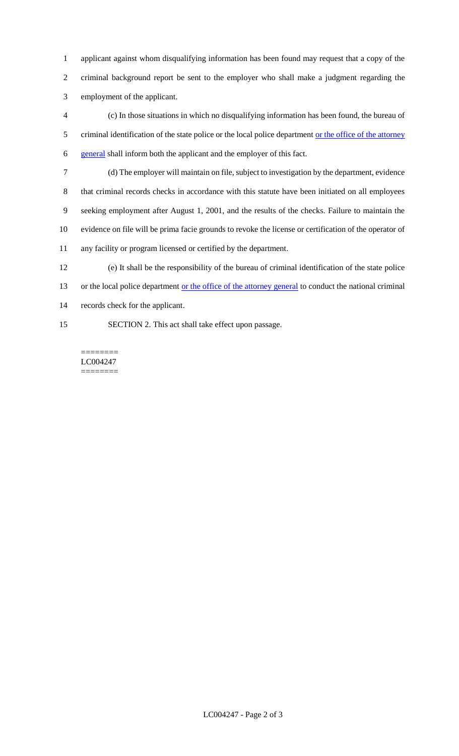applicant against whom disqualifying information has been found may request that a copy of the criminal background report be sent to the employer who shall make a judgment regarding the employment of the applicant.

 (c) In those situations in which no disqualifying information has been found, the bureau of 5 criminal identification of the state police or the local police department or the office of the attorney general shall inform both the applicant and the employer of this fact.

 (d) The employer will maintain on file, subject to investigation by the department, evidence that criminal records checks in accordance with this statute have been initiated on all employees seeking employment after August 1, 2001, and the results of the checks. Failure to maintain the evidence on file will be prima facie grounds to revoke the license or certification of the operator of any facility or program licensed or certified by the department.

(e) It shall be the responsibility of the bureau of criminal identification of the state police

13 or the local police department <u>or the office of the attorney general</u> to conduct the national criminal

records check for the applicant.

SECTION 2. This act shall take effect upon passage.

======== LC004247 ========